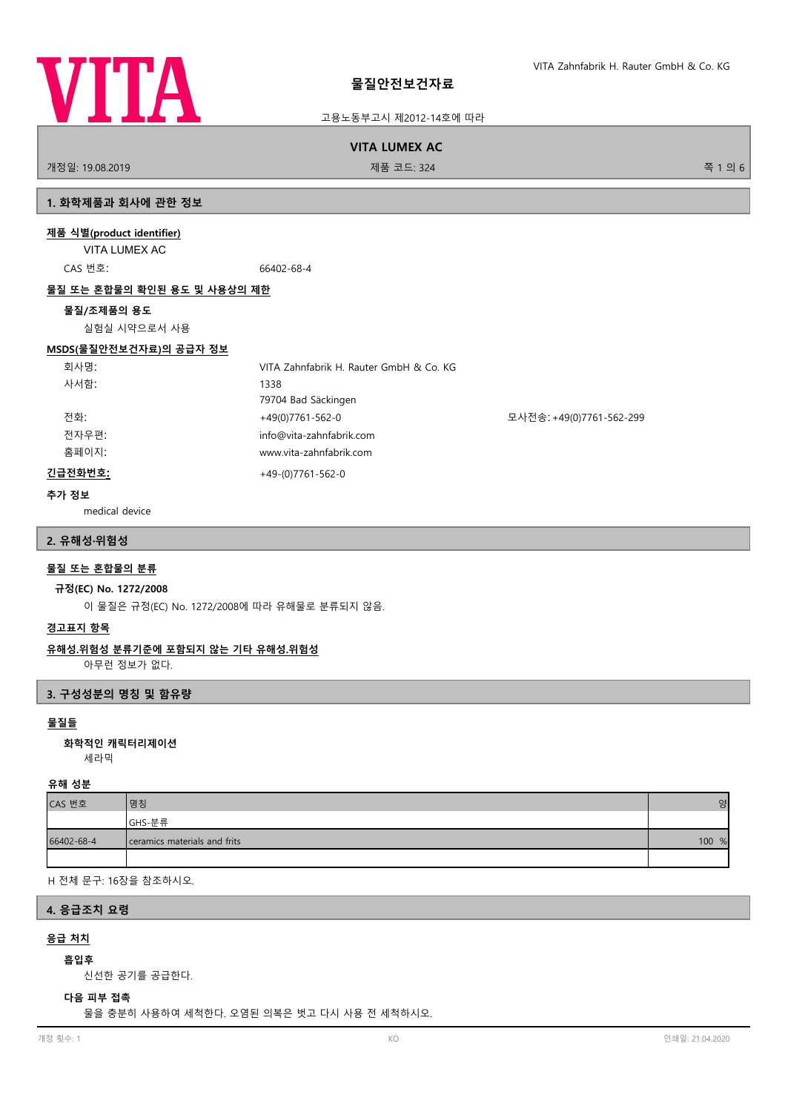

고용노동부고시 제2012-14호에 따라

#### **VITA LUMEX AC**

개정일: 19.08.2019 제품 코드: 324 쪽 1 의 6

#### **1. 화학제품과 회사에 관한 정보**

#### **제품 식별(product identifier)**

VITA LUMEX AC

CAS 번호: 66402-68-4

#### **물질 또는 혼합물의 확인된 용도 및 사용상의 제한**

#### **물질/조제품의 용도**

실험실 시약으로서 사용

#### **MSDS(물질안전보건자료)의 공급자 정보**

| 회사명:    | VITA Zahnfabrik H. Rauter GmbH & Co. KG |                          |
|---------|-----------------------------------------|--------------------------|
| 사서함:    | 1338                                    |                          |
|         | 79704 Bad Säckingen                     |                          |
| 전화:     | +49(0)7761-562-0                        | 모사전송: +49(0)7761-562-299 |
| 전자우편:   | info@vita-zahnfabrik.com                |                          |
| 홈페이지:   | www.vita-zahnfabrik.com                 |                          |
| 긴급전화번호: | $+49-(0)7761-562-0$                     |                          |

#### **추가 정보**

medical device

#### **2. 유해성·위험성**

#### **물질 또는 혼합물의 분류**

#### **규정(EC) No. 1272/2008**

이 물질은 규정(EC) No. 1272/2008에 따라 유해물로 분류되지 않음.

#### **경고표지 항목**

#### **유해성.위험성 분류기준에 포함되지 않는 기타 유해성.위험성**

아무런 정보가 없다.

#### **3. 구성성분의 명칭 및 함유량**

#### **물질들**

세라믹 **화학적인 캐릭터리제이션**

#### **유해 성분**

| CAS 번호     | 명칭                           | $\mathsf{S}^{\sharp}$ |
|------------|------------------------------|-----------------------|
|            | GHS-분류                       |                       |
| 66402-68-4 | ceramics materials and frits | 100 %                 |
|            |                              |                       |

H 전체 문구: 16장을 참조하시오.

#### **4. 응급조치 요령**

## **응급 처치**

#### **흡입후**

신선한 공기를 공급한다.

#### **다음 피부 접촉**

물을 충분히 사용하여 세척한다. 오염된 의복은 벗고 다시 사용 전 세척하시오.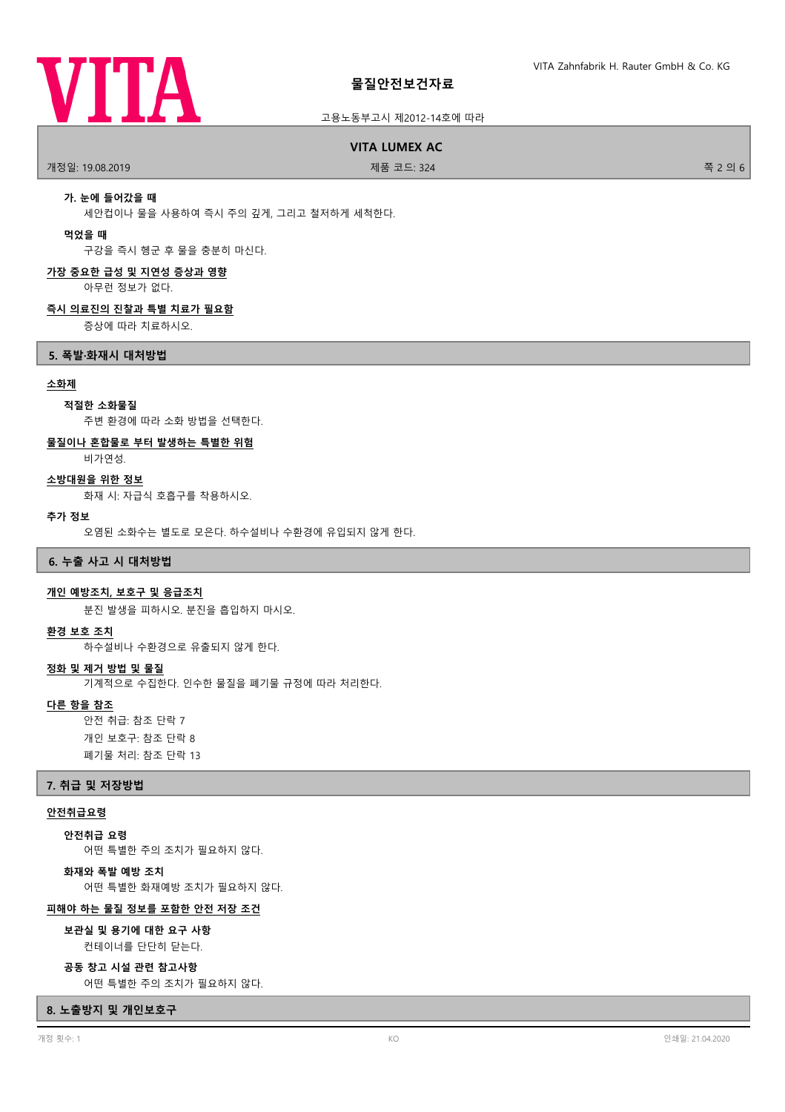

#### 고용노동부고시 제2012-14호에 따라

**VITA LUMEX AC**

개정일: 19.08.2019 제품 코드: 324 쪽 2 의 6

#### **가. 눈에 들어갔을 때**

세안컵이나 물을 사용하여 즉시 주의 깊게, 그리고 철저하게 세척한다.

#### **먹었을 때**

구강을 즉시 헹군 후 물을 충분히 마신다.

#### **가장 중요한 급성 및 지연성 증상과 영향**

아무런 정보가 없다.

#### **즉시 의료진의 진찰과 특별 치료가 필요함**

증상에 따라 치료하시오.

#### **5. 폭발·화재시 대처방법**

#### **소화제**

#### **적절한 소화물질**

주변 환경에 따라 소화 방법을 선택한다.

#### **물질이나 혼합물로 부터 발생하는 특별한 위험**

비가연성.

#### **소방대원을 위한 정보**

화재 시: 자급식 호흡구를 착용하시오.

#### **추가 정보**

오염된 소화수는 별도로 모은다. 하수설비나 수환경에 유입되지 않게 한다.

#### **6. 누출 사고 시 대처방법**

#### **개인 예방조치, 보호구 및 응급조치**

분진 발생을 피하시오. 분진을 흡입하지 마시오.

#### **환경 보호 조치**

하수설비나 수환경으로 유출되지 않게 한다.

#### **정화 및 제거 방법 및 물질**

기계적으로 수집한다. 인수한 물질을 폐기물 규정에 따라 처리한다.

#### **다른 항을 참조**

안전 취급: 참조 단락 7 개인 보호구: 참조 단락 8 폐기물 처리: 참조 단락 13

#### **7. 취급 및 저장방법**

#### **안전취급요령**

**안전취급 요령**

어떤 특별한 주의 조치가 필요하지 않다.

#### **화재와 폭발 예방 조치**

어떤 특별한 화재예방 조치가 필요하지 않다.

#### **피해야 하는 물질 정보를 포함한 안전 저장 조건**

컨테이너를 단단히 닫는다. **보관실 및 용기에 대한 요구 사항**

#### **공동 창고 시설 관련 참고사항**

어떤 특별한 주의 조치가 필요하지 않다.

#### **8. 노출방지 및 개인보호구**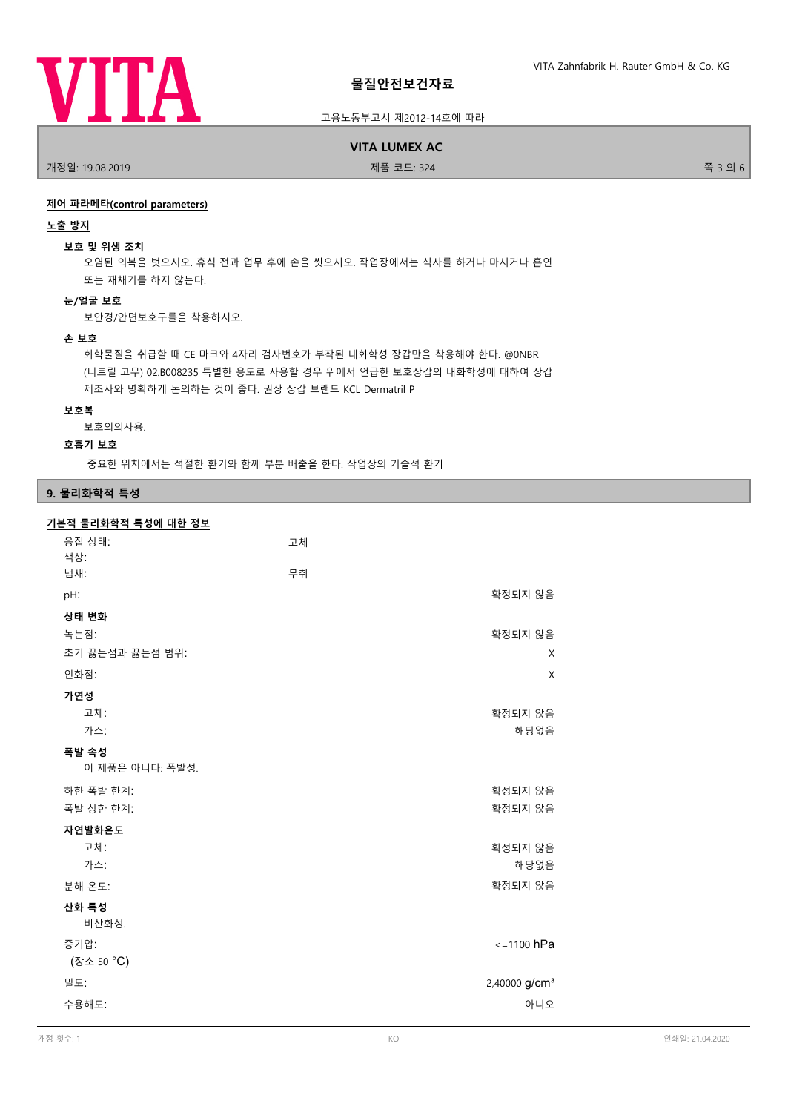

#### 고용노동부고시 제2012-14호에 따라

**VITA LUMEX AC**

개정일: 19.08.2019 제품 코드: 324 쪽 3 의 6

#### **제어 파라메타(control parameters)**

#### **노출 방지**

#### **보호 및 위생 조치**

오염된 의복을 벗으시오. 휴식 전과 업무 후에 손을 씻으시오. 작업장에서는 식사를 하거나 마시거나 흡연 또는 재채기를 하지 않는다.

#### **눈/얼굴 보호**

보안경/안면보호구를을 착용하시오.

#### **손 보호**

화학물질을 취급할 때 CE 마크와 4자리 검사번호가 부착된 내화학성 장갑만을 착용해야 한다. @0NBR (니트릴 고무) 02.B008235 특별한 용도로 사용할 경우 위에서 언급한 보호장갑의 내화학성에 대하여 장갑 제조사와 명확하게 논의하는 것이 좋다. 권장 장갑 브랜드 KCL Dermatril P

#### **보호복**

보호의의사용.

#### **호흡기 보호**

중요한 위치에서는 적절한 환기와 함께 부분 배출을 한다. 작업장의 기술적 환기

#### **9. 물리화학적 특성**

#### **기본적 물리화학적 특성에 대한 정보**

| 응집 상태:<br>색상:            | 고체                        |
|--------------------------|---------------------------|
| 냄새:                      | 무취                        |
| pH:                      | 확정되지 않음                   |
| 상태 변화                    |                           |
| 녹는점:                     | 확정되지 않음                   |
| 초기 끓는점과 끓는점 범위:          | X                         |
| 인화점:                     | X                         |
| 가연성                      |                           |
| 고체:                      | 확정되지 않음                   |
| 가스:                      | 해당없음                      |
| 폭발 속성<br>이 제품은 아니다: 폭발성. |                           |
| 하한 폭발 한계:                | 확정되지 않음                   |
| 폭발 상한 한계:                | 확정되지 않음                   |
| 자연발화온도                   |                           |
| 고체:                      | 확정되지 않음                   |
| 가스:                      | 해당없음                      |
| 분해 온도:                   | 확정되지 않음                   |
| 산화 특성<br>비산화성.           |                           |
| 증기압:                     | $\le$ =1100 hPa           |
| (장소 50 °C)               |                           |
| 밀도:                      | 2,40000 g/cm <sup>3</sup> |
| 수용해도:                    | 아니오                       |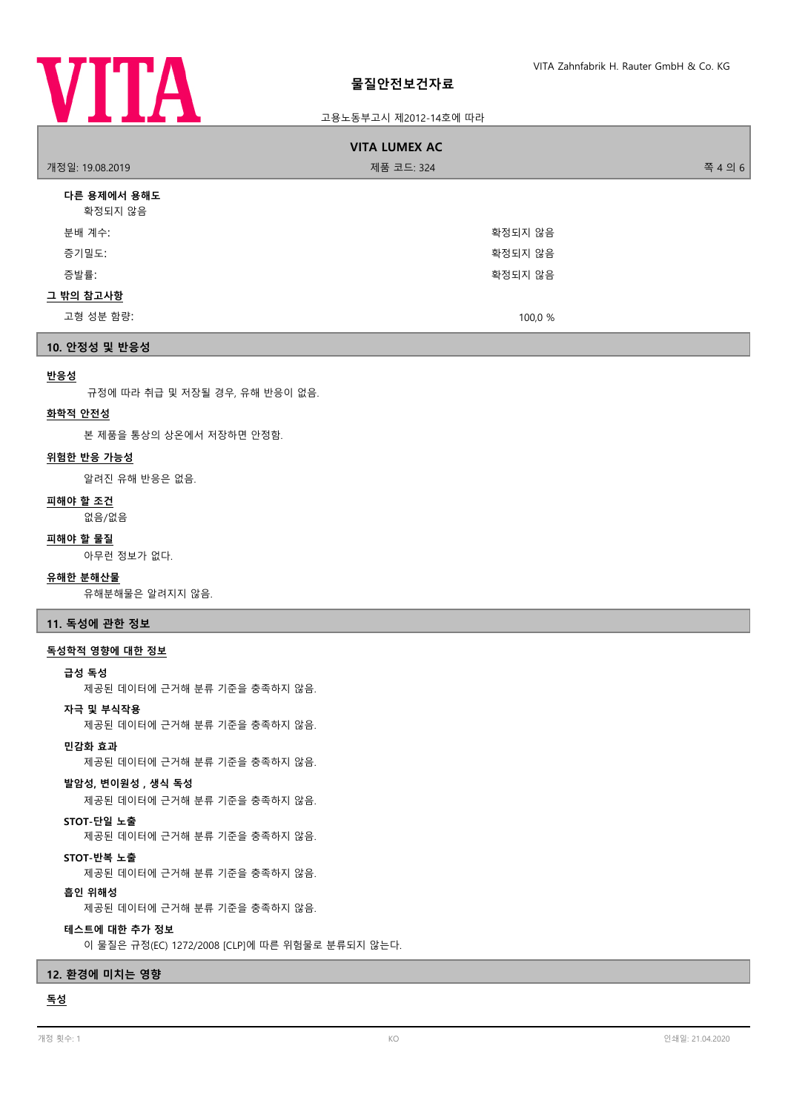

#### 고용노동부고시 제2012-14호에 따라

| <b>VITA LUMEX AC</b>   |            |         |
|------------------------|------------|---------|
| 개정일: 19.08.2019        | 제품 코드: 324 | 쪽 4 의 6 |
| 다른 용제에서 용해도<br>확정되지 않음 |            |         |
| 분배 계수:                 | 확정되지 않음    |         |
| 증기밀도:                  | 확정되지 않음    |         |
| 증발률:                   | 확정되지 않음    |         |
| 그 밖의 참고사항              |            |         |
| 고형 성분 함량:              | 100,0 %    |         |
| 10. 안정성 및 반응성          |            |         |

#### **반응성**

규정에 따라 취급 및 저장될 경우, 유해 반응이 없음.

#### **화학적 안전성**

본 제품을 통상의 상온에서 저장하면 안정함.

## **위험한 반응 가능성**

알려진 유해 반응은 없음.

#### **피해야 할 조건**

없음/없음

#### **피해야 할 물질**

아무런 정보가 없다.

#### **유해한 분해산물**

유해분해물은 알려지지 않음.

**11. 독성에 관한 정보**

#### **독성학적 영향에 대한 정보**

#### **급성 독성**

제공된 데이터에 근거해 분류 기준을 충족하지 않음.

#### **자극 및 부식작용**

제공된 데이터에 근거해 분류 기준을 충족하지 않음.

#### **민감화 효과**

제공된 데이터에 근거해 분류 기준을 충족하지 않음.

#### **발암성, 변이원성 , 생식 독성**

제공된 데이터에 근거해 분류 기준을 충족하지 않음.

#### **STOT-단일 노출**

제공된 데이터에 근거해 분류 기준을 충족하지 않음.

#### **STOT-반복 노출**

제공된 데이터에 근거해 분류 기준을 충족하지 않음.

#### **흡인 위해성**

제공된 데이터에 근거해 분류 기준을 충족하지 않음.

#### **테스트에 대한 추가 정보**

이 물질은 규정(EC) 1272/2008 [CLP]에 따른 위험물로 분류되지 않는다.

#### **12. 환경에 미치는 영향**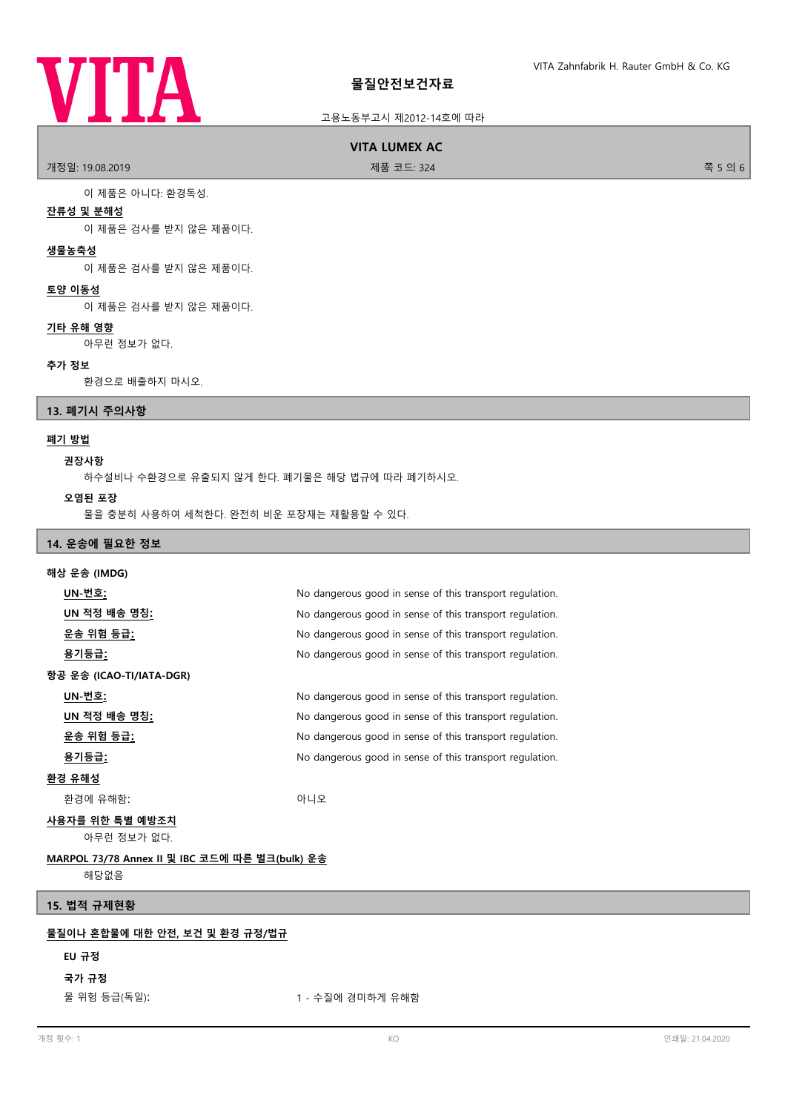# **VITA**

#### **물질안전보건자료**

#### 고용노동부고시 제2012-14호에 따라

## **VITA LUMEX AC**

개정일: 19.08.2019 제품 코드: 324 쪽 5 의 6

이 제품은 아니다: 환경독성.

#### **잔류성 및 분해성**

이 제품은 검사를 받지 않은 제품이다.

#### **생물농축성**

이 제품은 검사를 받지 않은 제품이다.

#### **토양 이동성**

이 제품은 검사를 받지 않은 제품이다.

#### **기타 유해 영향**

아무런 정보가 없다.

#### **추가 정보**

환경으로 배출하지 마시오.

#### **13. 폐기시 주의사항**

#### **폐기 방법**

### **권장사항**

하수설비나 수환경으로 유출되지 않게 한다. 폐기물은 해당 법규에 따라 폐기하시오.

#### **오염된 포장**

물을 충분히 사용하여 세척한다. 완전히 비운 포장재는 재활용할 수 있다.

#### **14. 운송에 필요한 정보**

| 해상 운송 (IMDG)                                          |                                                          |  |
|-------------------------------------------------------|----------------------------------------------------------|--|
| <u> UN-번호:</u>                                        | No dangerous good in sense of this transport regulation. |  |
| UN 적정 배송 명칭:                                          | No dangerous good in sense of this transport regulation. |  |
| <u>운송 위험 등급:</u>                                      | No dangerous good in sense of this transport regulation. |  |
| <u>용기등급:</u>                                          | No dangerous good in sense of this transport regulation. |  |
| 항공 운송 (ICAO-TI/IATA-DGR)                              |                                                          |  |
| UN-번호:                                                | No dangerous good in sense of this transport regulation. |  |
| <u>UN 적정 배송 명칭:</u>                                   | No dangerous good in sense of this transport regulation. |  |
| <u>운송 위험 등급:</u>                                      | No dangerous good in sense of this transport regulation. |  |
| <u>용기등급:</u>                                          | No dangerous good in sense of this transport regulation. |  |
| <u>환경 유해성</u>                                         |                                                          |  |
| 환경에 유해함:                                              | 아니오                                                      |  |
| 사용자를 위한 특별 예방조치<br>아무런 정보가 없다.                        |                                                          |  |
| <u>MARPOL 73/78 Annex II 및 IBC 코드에 따른 벌크(bulk) 운송</u> |                                                          |  |
| 해당없음                                                  |                                                          |  |
| 15. 법적 규제현황                                           |                                                          |  |
| 물질이나 혼합물에 대한 안전, 보건 및 환경 규정/법규                        |                                                          |  |

#### **EU 규정**

#### **국가 규정**

물 위험 등급(독일): 1 - 수질에 경미하게 유해함